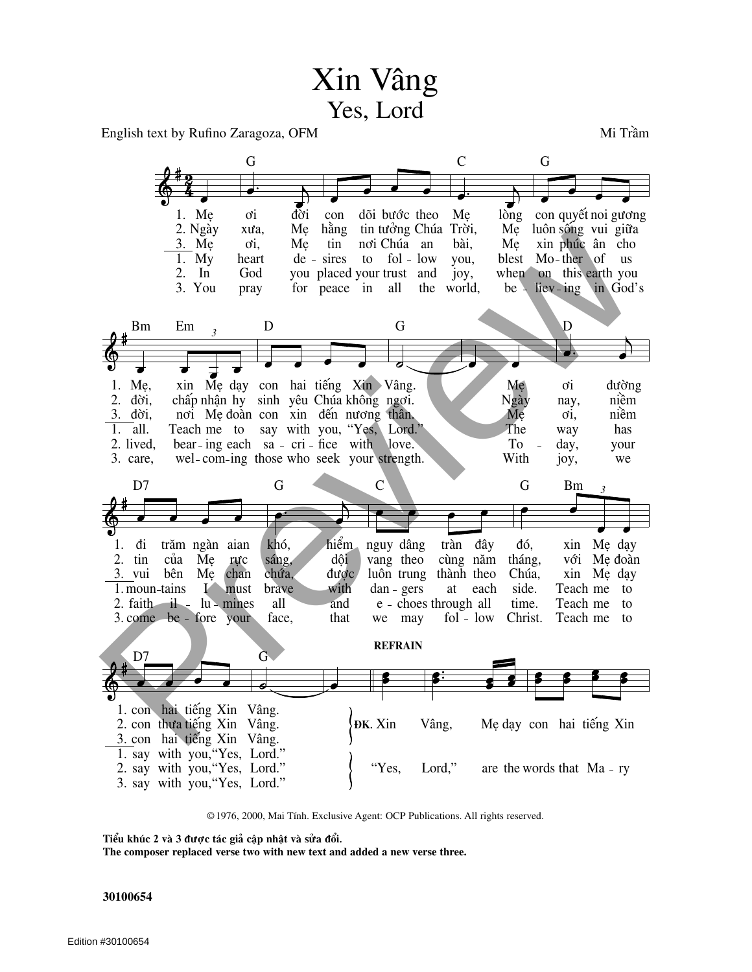## Xin Vâng Yes, Lord

English text by Rufino Zaragoza, OFM

Mi Trầm



© 1976, 2000, Mai Tính. Exclusive Agent: OCP Publications. All rights reserved.

Tiểu khúc 2 và 3 được tác giả cập nhật và sửa đổi.

The composer replaced verse two with new text and added a new verse three.

## 30100654